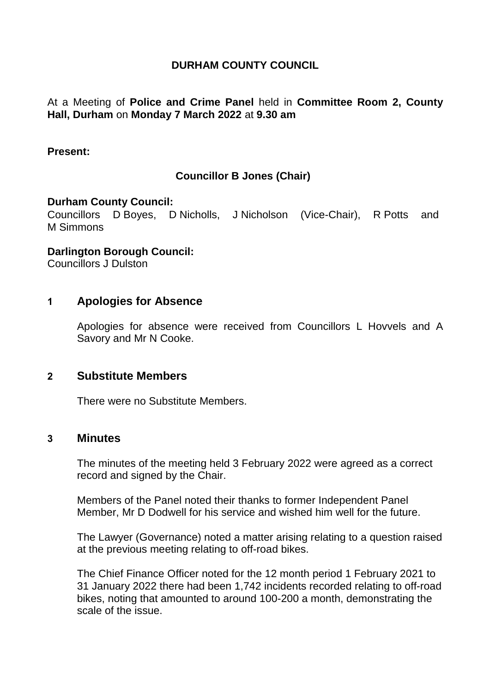## **DURHAM COUNTY COUNCIL**

## At a Meeting of **Police and Crime Panel** held in **Committee Room 2, County Hall, Durham** on **Monday 7 March 2022** at **9.30 am**

#### **Present:**

## **Councillor B Jones (Chair)**

#### **Durham County Council:**

Councillors D Boyes, D Nicholls, J Nicholson (Vice-Chair), R Potts and M Simmons

#### **Darlington Borough Council:**

Councillors J Dulston

## **1 Apologies for Absence**

Apologies for absence were received from Councillors L Hovvels and A Savory and Mr N Cooke.

### **2 Substitute Members**

There were no Substitute Members.

### **3 Minutes**

The minutes of the meeting held 3 February 2022 were agreed as a correct record and signed by the Chair.

Members of the Panel noted their thanks to former Independent Panel Member, Mr D Dodwell for his service and wished him well for the future.

The Lawyer (Governance) noted a matter arising relating to a question raised at the previous meeting relating to off-road bikes.

The Chief Finance Officer noted for the 12 month period 1 February 2021 to 31 January 2022 there had been 1,742 incidents recorded relating to off-road bikes, noting that amounted to around 100-200 a month, demonstrating the scale of the issue.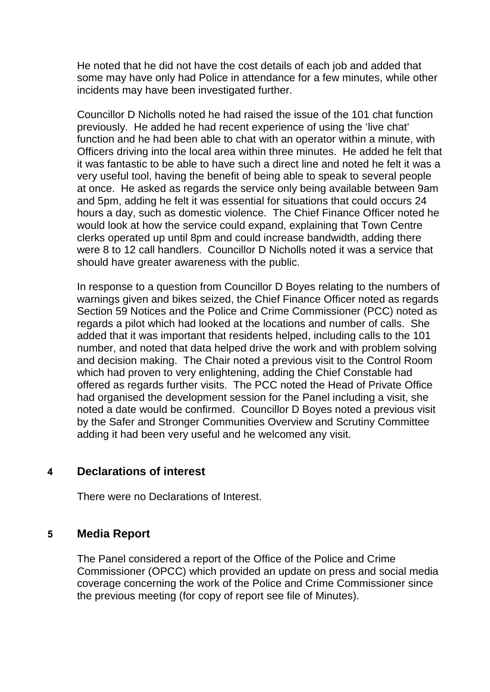He noted that he did not have the cost details of each job and added that some may have only had Police in attendance for a few minutes, while other incidents may have been investigated further.

Councillor D Nicholls noted he had raised the issue of the 101 chat function previously. He added he had recent experience of using the 'live chat' function and he had been able to chat with an operator within a minute, with Officers driving into the local area within three minutes. He added he felt that it was fantastic to be able to have such a direct line and noted he felt it was a very useful tool, having the benefit of being able to speak to several people at once. He asked as regards the service only being available between 9am and 5pm, adding he felt it was essential for situations that could occurs 24 hours a day, such as domestic violence. The Chief Finance Officer noted he would look at how the service could expand, explaining that Town Centre clerks operated up until 8pm and could increase bandwidth, adding there were 8 to 12 call handlers. Councillor D Nicholls noted it was a service that should have greater awareness with the public.

In response to a question from Councillor D Boyes relating to the numbers of warnings given and bikes seized, the Chief Finance Officer noted as regards Section 59 Notices and the Police and Crime Commissioner (PCC) noted as regards a pilot which had looked at the locations and number of calls. She added that it was important that residents helped, including calls to the 101 number, and noted that data helped drive the work and with problem solving and decision making. The Chair noted a previous visit to the Control Room which had proven to very enlightening, adding the Chief Constable had offered as regards further visits. The PCC noted the Head of Private Office had organised the development session for the Panel including a visit, she noted a date would be confirmed. Councillor D Boyes noted a previous visit by the Safer and Stronger Communities Overview and Scrutiny Committee adding it had been very useful and he welcomed any visit.

## **4 Declarations of interest**

There were no Declarations of Interest.

#### **5 Media Report**

The Panel considered a report of the Office of the Police and Crime Commissioner (OPCC) which provided an update on press and social media coverage concerning the work of the Police and Crime Commissioner since the previous meeting (for copy of report see file of Minutes).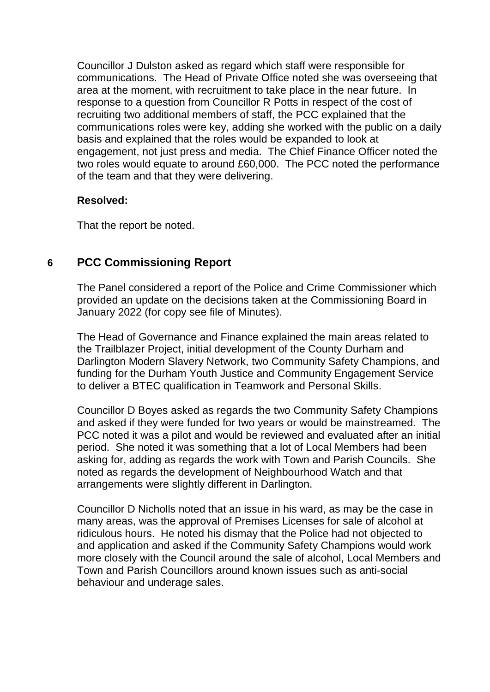Councillor J Dulston asked as regard which staff were responsible for communications. The Head of Private Office noted she was overseeing that area at the moment, with recruitment to take place in the near future. In response to a question from Councillor R Potts in respect of the cost of recruiting two additional members of staff, the PCC explained that the communications roles were key, adding she worked with the public on a daily basis and explained that the roles would be expanded to look at engagement, not just press and media. The Chief Finance Officer noted the two roles would equate to around £60,000. The PCC noted the performance of the team and that they were delivering.

## **Resolved:**

That the report be noted.

# **6 PCC Commissioning Report**

The Panel considered a report of the Police and Crime Commissioner which provided an update on the decisions taken at the Commissioning Board in January 2022 (for copy see file of Minutes).

The Head of Governance and Finance explained the main areas related to the Trailblazer Project, initial development of the County Durham and Darlington Modern Slavery Network, two Community Safety Champions, and funding for the Durham Youth Justice and Community Engagement Service to deliver a BTEC qualification in Teamwork and Personal Skills.

Councillor D Boyes asked as regards the two Community Safety Champions and asked if they were funded for two years or would be mainstreamed. The PCC noted it was a pilot and would be reviewed and evaluated after an initial period. She noted it was something that a lot of Local Members had been asking for, adding as regards the work with Town and Parish Councils. She noted as regards the development of Neighbourhood Watch and that arrangements were slightly different in Darlington.

Councillor D Nicholls noted that an issue in his ward, as may be the case in many areas, was the approval of Premises Licenses for sale of alcohol at ridiculous hours. He noted his dismay that the Police had not objected to and application and asked if the Community Safety Champions would work more closely with the Council around the sale of alcohol, Local Members and Town and Parish Councillors around known issues such as anti-social behaviour and underage sales.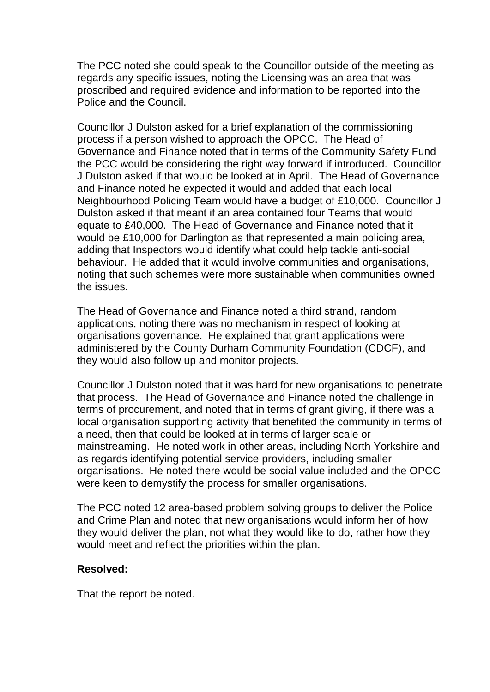The PCC noted she could speak to the Councillor outside of the meeting as regards any specific issues, noting the Licensing was an area that was proscribed and required evidence and information to be reported into the Police and the Council.

Councillor J Dulston asked for a brief explanation of the commissioning process if a person wished to approach the OPCC. The Head of Governance and Finance noted that in terms of the Community Safety Fund the PCC would be considering the right way forward if introduced. Councillor J Dulston asked if that would be looked at in April. The Head of Governance and Finance noted he expected it would and added that each local Neighbourhood Policing Team would have a budget of £10,000. Councillor J Dulston asked if that meant if an area contained four Teams that would equate to £40,000. The Head of Governance and Finance noted that it would be £10,000 for Darlington as that represented a main policing area, adding that Inspectors would identify what could help tackle anti-social behaviour. He added that it would involve communities and organisations, noting that such schemes were more sustainable when communities owned the issues.

The Head of Governance and Finance noted a third strand, random applications, noting there was no mechanism in respect of looking at organisations governance. He explained that grant applications were administered by the County Durham Community Foundation (CDCF), and they would also follow up and monitor projects.

Councillor J Dulston noted that it was hard for new organisations to penetrate that process. The Head of Governance and Finance noted the challenge in terms of procurement, and noted that in terms of grant giving, if there was a local organisation supporting activity that benefited the community in terms of a need, then that could be looked at in terms of larger scale or mainstreaming. He noted work in other areas, including North Yorkshire and as regards identifying potential service providers, including smaller organisations. He noted there would be social value included and the OPCC were keen to demystify the process for smaller organisations.

The PCC noted 12 area-based problem solving groups to deliver the Police and Crime Plan and noted that new organisations would inform her of how they would deliver the plan, not what they would like to do, rather how they would meet and reflect the priorities within the plan.

#### **Resolved:**

That the report be noted.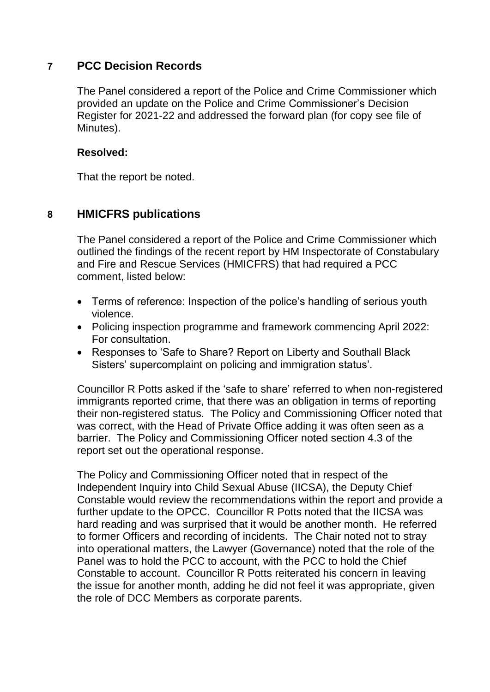# **7 PCC Decision Records**

The Panel considered a report of the Police and Crime Commissioner which provided an update on the Police and Crime Commissioner's Decision Register for 2021-22 and addressed the forward plan (for copy see file of Minutes).

## **Resolved:**

That the report be noted.

## **8 HMICFRS publications**

The Panel considered a report of the Police and Crime Commissioner which outlined the findings of the recent report by HM Inspectorate of Constabulary and Fire and Rescue Services (HMICFRS) that had required a PCC comment, listed below:

- Terms of reference: Inspection of the police's handling of serious youth violence.
- Policing inspection programme and framework commencing April 2022: For consultation.
- Responses to 'Safe to Share? Report on Liberty and Southall Black Sisters' supercomplaint on policing and immigration status'.

Councillor R Potts asked if the 'safe to share' referred to when non-registered immigrants reported crime, that there was an obligation in terms of reporting their non-registered status. The Policy and Commissioning Officer noted that was correct, with the Head of Private Office adding it was often seen as a barrier. The Policy and Commissioning Officer noted section 4.3 of the report set out the operational response.

The Policy and Commissioning Officer noted that in respect of the Independent Inquiry into Child Sexual Abuse (IICSA), the Deputy Chief Constable would review the recommendations within the report and provide a further update to the OPCC. Councillor R Potts noted that the IICSA was hard reading and was surprised that it would be another month. He referred to former Officers and recording of incidents. The Chair noted not to stray into operational matters, the Lawyer (Governance) noted that the role of the Panel was to hold the PCC to account, with the PCC to hold the Chief Constable to account. Councillor R Potts reiterated his concern in leaving the issue for another month, adding he did not feel it was appropriate, given the role of DCC Members as corporate parents.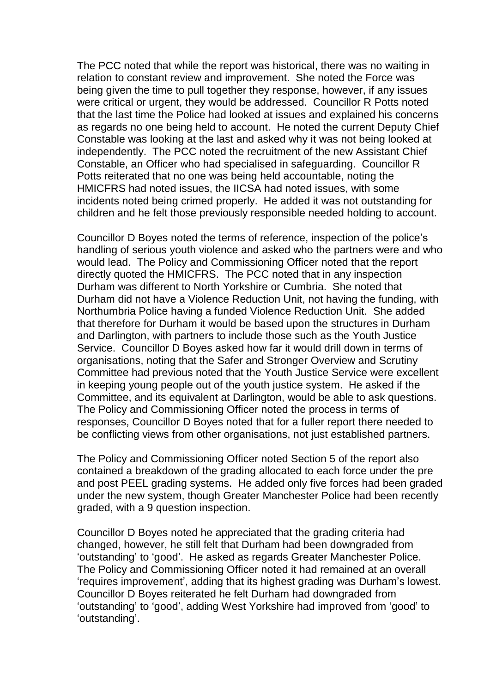The PCC noted that while the report was historical, there was no waiting in relation to constant review and improvement. She noted the Force was being given the time to pull together they response, however, if any issues were critical or urgent, they would be addressed. Councillor R Potts noted that the last time the Police had looked at issues and explained his concerns as regards no one being held to account. He noted the current Deputy Chief Constable was looking at the last and asked why it was not being looked at independently. The PCC noted the recruitment of the new Assistant Chief Constable, an Officer who had specialised in safeguarding. Councillor R Potts reiterated that no one was being held accountable, noting the HMICFRS had noted issues, the IICSA had noted issues, with some incidents noted being crimed properly. He added it was not outstanding for children and he felt those previously responsible needed holding to account.

Councillor D Boyes noted the terms of reference, inspection of the police's handling of serious youth violence and asked who the partners were and who would lead. The Policy and Commissioning Officer noted that the report directly quoted the HMICFRS. The PCC noted that in any inspection Durham was different to North Yorkshire or Cumbria. She noted that Durham did not have a Violence Reduction Unit, not having the funding, with Northumbria Police having a funded Violence Reduction Unit. She added that therefore for Durham it would be based upon the structures in Durham and Darlington, with partners to include those such as the Youth Justice Service. Councillor D Boyes asked how far it would drill down in terms of organisations, noting that the Safer and Stronger Overview and Scrutiny Committee had previous noted that the Youth Justice Service were excellent in keeping young people out of the youth justice system. He asked if the Committee, and its equivalent at Darlington, would be able to ask questions. The Policy and Commissioning Officer noted the process in terms of responses, Councillor D Boyes noted that for a fuller report there needed to be conflicting views from other organisations, not just established partners.

The Policy and Commissioning Officer noted Section 5 of the report also contained a breakdown of the grading allocated to each force under the pre and post PEEL grading systems. He added only five forces had been graded under the new system, though Greater Manchester Police had been recently graded, with a 9 question inspection.

Councillor D Boyes noted he appreciated that the grading criteria had changed, however, he still felt that Durham had been downgraded from 'outstanding' to 'good'. He asked as regards Greater Manchester Police. The Policy and Commissioning Officer noted it had remained at an overall 'requires improvement', adding that its highest grading was Durham's lowest. Councillor D Boyes reiterated he felt Durham had downgraded from 'outstanding' to 'good', adding West Yorkshire had improved from 'good' to 'outstanding'.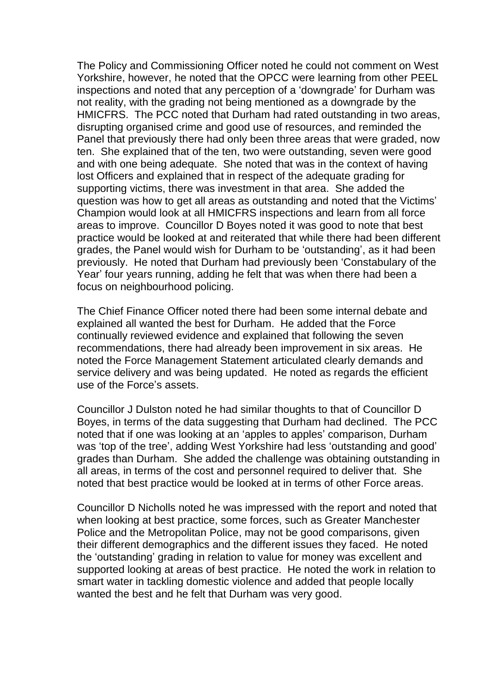The Policy and Commissioning Officer noted he could not comment on West Yorkshire, however, he noted that the OPCC were learning from other PEEL inspections and noted that any perception of a 'downgrade' for Durham was not reality, with the grading not being mentioned as a downgrade by the HMICFRS. The PCC noted that Durham had rated outstanding in two areas, disrupting organised crime and good use of resources, and reminded the Panel that previously there had only been three areas that were graded, now ten. She explained that of the ten, two were outstanding, seven were good and with one being adequate. She noted that was in the context of having lost Officers and explained that in respect of the adequate grading for supporting victims, there was investment in that area. She added the question was how to get all areas as outstanding and noted that the Victims' Champion would look at all HMICFRS inspections and learn from all force areas to improve. Councillor D Boyes noted it was good to note that best practice would be looked at and reiterated that while there had been different grades, the Panel would wish for Durham to be 'outstanding', as it had been previously. He noted that Durham had previously been 'Constabulary of the Year' four years running, adding he felt that was when there had been a focus on neighbourhood policing.

The Chief Finance Officer noted there had been some internal debate and explained all wanted the best for Durham. He added that the Force continually reviewed evidence and explained that following the seven recommendations, there had already been improvement in six areas. He noted the Force Management Statement articulated clearly demands and service delivery and was being updated. He noted as regards the efficient use of the Force's assets.

Councillor J Dulston noted he had similar thoughts to that of Councillor D Boyes, in terms of the data suggesting that Durham had declined. The PCC noted that if one was looking at an 'apples to apples' comparison, Durham was 'top of the tree', adding West Yorkshire had less 'outstanding and good' grades than Durham. She added the challenge was obtaining outstanding in all areas, in terms of the cost and personnel required to deliver that. She noted that best practice would be looked at in terms of other Force areas.

Councillor D Nicholls noted he was impressed with the report and noted that when looking at best practice, some forces, such as Greater Manchester Police and the Metropolitan Police, may not be good comparisons, given their different demographics and the different issues they faced. He noted the 'outstanding' grading in relation to value for money was excellent and supported looking at areas of best practice. He noted the work in relation to smart water in tackling domestic violence and added that people locally wanted the best and he felt that Durham was very good.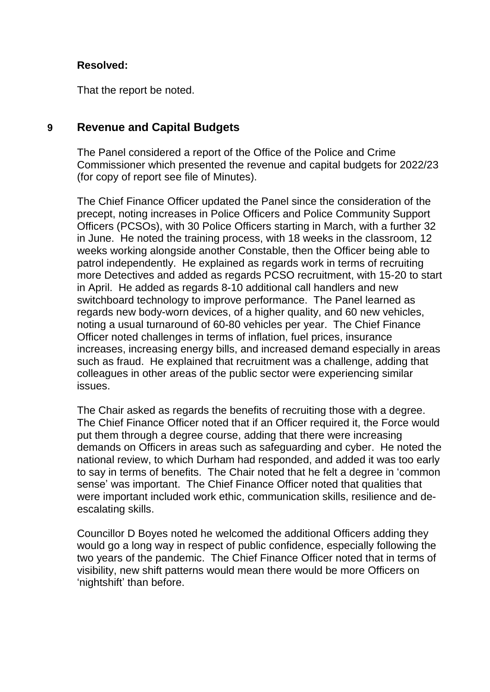## **Resolved:**

That the report be noted.

# **9 Revenue and Capital Budgets**

The Panel considered a report of the Office of the Police and Crime Commissioner which presented the revenue and capital budgets for 2022/23 (for copy of report see file of Minutes).

The Chief Finance Officer updated the Panel since the consideration of the precept, noting increases in Police Officers and Police Community Support Officers (PCSOs), with 30 Police Officers starting in March, with a further 32 in June. He noted the training process, with 18 weeks in the classroom, 12 weeks working alongside another Constable, then the Officer being able to patrol independently. He explained as regards work in terms of recruiting more Detectives and added as regards PCSO recruitment, with 15-20 to start in April. He added as regards 8-10 additional call handlers and new switchboard technology to improve performance. The Panel learned as regards new body-worn devices, of a higher quality, and 60 new vehicles, noting a usual turnaround of 60-80 vehicles per year. The Chief Finance Officer noted challenges in terms of inflation, fuel prices, insurance increases, increasing energy bills, and increased demand especially in areas such as fraud. He explained that recruitment was a challenge, adding that colleagues in other areas of the public sector were experiencing similar issues.

The Chair asked as regards the benefits of recruiting those with a degree. The Chief Finance Officer noted that if an Officer required it, the Force would put them through a degree course, adding that there were increasing demands on Officers in areas such as safeguarding and cyber. He noted the national review, to which Durham had responded, and added it was too early to say in terms of benefits. The Chair noted that he felt a degree in 'common sense' was important. The Chief Finance Officer noted that qualities that were important included work ethic, communication skills, resilience and deescalating skills.

Councillor D Boyes noted he welcomed the additional Officers adding they would go a long way in respect of public confidence, especially following the two years of the pandemic. The Chief Finance Officer noted that in terms of visibility, new shift patterns would mean there would be more Officers on 'nightshift' than before.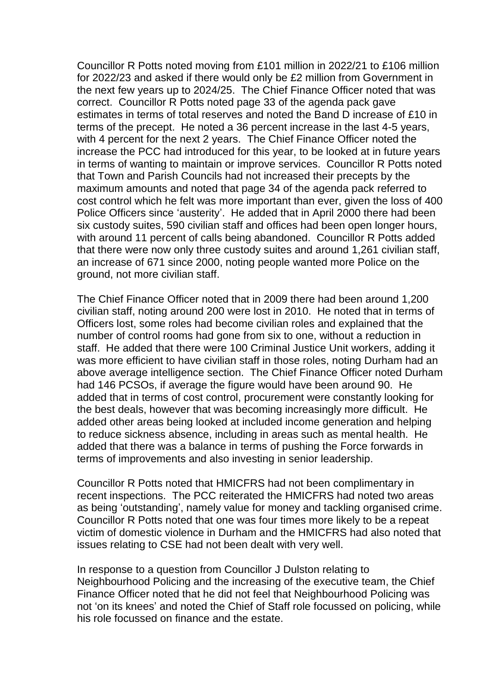Councillor R Potts noted moving from £101 million in 2022/21 to £106 million for 2022/23 and asked if there would only be £2 million from Government in the next few years up to 2024/25. The Chief Finance Officer noted that was correct. Councillor R Potts noted page 33 of the agenda pack gave estimates in terms of total reserves and noted the Band D increase of £10 in terms of the precept. He noted a 36 percent increase in the last 4-5 years, with 4 percent for the next 2 years. The Chief Finance Officer noted the increase the PCC had introduced for this year, to be looked at in future years in terms of wanting to maintain or improve services. Councillor R Potts noted that Town and Parish Councils had not increased their precepts by the maximum amounts and noted that page 34 of the agenda pack referred to cost control which he felt was more important than ever, given the loss of 400 Police Officers since 'austerity'. He added that in April 2000 there had been six custody suites, 590 civilian staff and offices had been open longer hours, with around 11 percent of calls being abandoned. Councillor R Potts added that there were now only three custody suites and around 1,261 civilian staff, an increase of 671 since 2000, noting people wanted more Police on the ground, not more civilian staff.

The Chief Finance Officer noted that in 2009 there had been around 1,200 civilian staff, noting around 200 were lost in 2010. He noted that in terms of Officers lost, some roles had become civilian roles and explained that the number of control rooms had gone from six to one, without a reduction in staff. He added that there were 100 Criminal Justice Unit workers, adding it was more efficient to have civilian staff in those roles, noting Durham had an above average intelligence section. The Chief Finance Officer noted Durham had 146 PCSOs, if average the figure would have been around 90. He added that in terms of cost control, procurement were constantly looking for the best deals, however that was becoming increasingly more difficult. He added other areas being looked at included income generation and helping to reduce sickness absence, including in areas such as mental health. He added that there was a balance in terms of pushing the Force forwards in terms of improvements and also investing in senior leadership.

Councillor R Potts noted that HMICFRS had not been complimentary in recent inspections. The PCC reiterated the HMICFRS had noted two areas as being 'outstanding', namely value for money and tackling organised crime. Councillor R Potts noted that one was four times more likely to be a repeat victim of domestic violence in Durham and the HMICFRS had also noted that issues relating to CSE had not been dealt with very well.

In response to a question from Councillor J Dulston relating to Neighbourhood Policing and the increasing of the executive team, the Chief Finance Officer noted that he did not feel that Neighbourhood Policing was not 'on its knees' and noted the Chief of Staff role focussed on policing, while his role focussed on finance and the estate.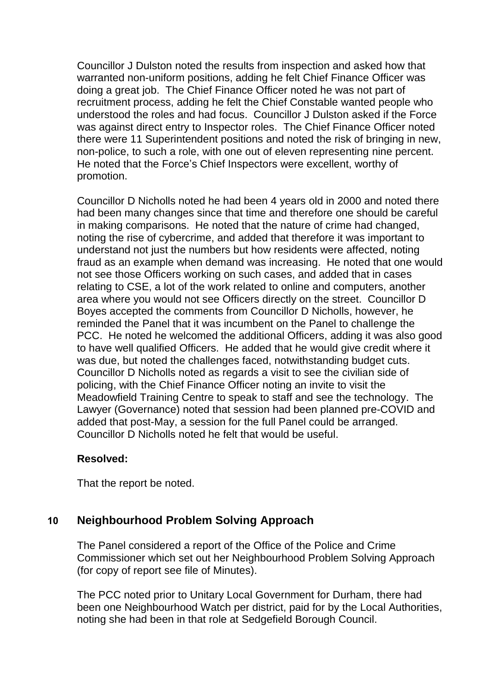Councillor J Dulston noted the results from inspection and asked how that warranted non-uniform positions, adding he felt Chief Finance Officer was doing a great job. The Chief Finance Officer noted he was not part of recruitment process, adding he felt the Chief Constable wanted people who understood the roles and had focus. Councillor J Dulston asked if the Force was against direct entry to Inspector roles. The Chief Finance Officer noted there were 11 Superintendent positions and noted the risk of bringing in new, non-police, to such a role, with one out of eleven representing nine percent. He noted that the Force's Chief Inspectors were excellent, worthy of promotion.

Councillor D Nicholls noted he had been 4 years old in 2000 and noted there had been many changes since that time and therefore one should be careful in making comparisons. He noted that the nature of crime had changed, noting the rise of cybercrime, and added that therefore it was important to understand not just the numbers but how residents were affected, noting fraud as an example when demand was increasing. He noted that one would not see those Officers working on such cases, and added that in cases relating to CSE, a lot of the work related to online and computers, another area where you would not see Officers directly on the street. Councillor D Boyes accepted the comments from Councillor D Nicholls, however, he reminded the Panel that it was incumbent on the Panel to challenge the PCC. He noted he welcomed the additional Officers, adding it was also good to have well qualified Officers. He added that he would give credit where it was due, but noted the challenges faced, notwithstanding budget cuts. Councillor D Nicholls noted as regards a visit to see the civilian side of policing, with the Chief Finance Officer noting an invite to visit the Meadowfield Training Centre to speak to staff and see the technology. The Lawyer (Governance) noted that session had been planned pre-COVID and added that post-May, a session for the full Panel could be arranged. Councillor D Nicholls noted he felt that would be useful.

#### **Resolved:**

That the report be noted.

# **10 Neighbourhood Problem Solving Approach**

The Panel considered a report of the Office of the Police and Crime Commissioner which set out her Neighbourhood Problem Solving Approach (for copy of report see file of Minutes).

The PCC noted prior to Unitary Local Government for Durham, there had been one Neighbourhood Watch per district, paid for by the Local Authorities, noting she had been in that role at Sedgefield Borough Council.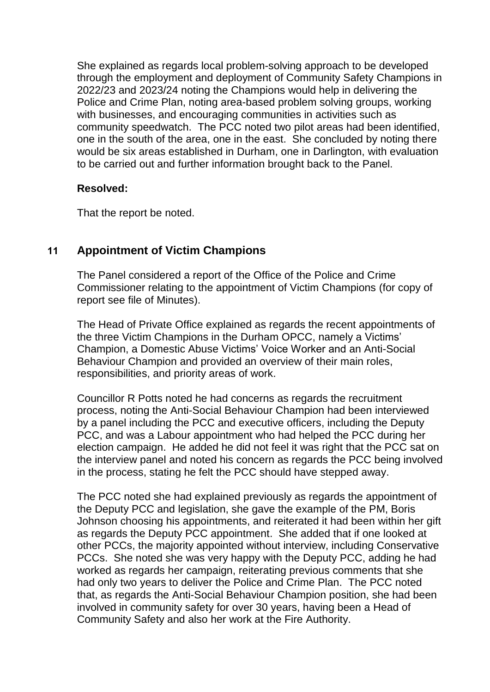She explained as regards local problem-solving approach to be developed through the employment and deployment of Community Safety Champions in 2022/23 and 2023/24 noting the Champions would help in delivering the Police and Crime Plan, noting area-based problem solving groups, working with businesses, and encouraging communities in activities such as community speedwatch. The PCC noted two pilot areas had been identified, one in the south of the area, one in the east. She concluded by noting there would be six areas established in Durham, one in Darlington, with evaluation to be carried out and further information brought back to the Panel.

## **Resolved:**

That the report be noted.

# **11 Appointment of Victim Champions**

The Panel considered a report of the Office of the Police and Crime Commissioner relating to the appointment of Victim Champions (for copy of report see file of Minutes).

The Head of Private Office explained as regards the recent appointments of the three Victim Champions in the Durham OPCC, namely a Victims' Champion, a Domestic Abuse Victims' Voice Worker and an Anti-Social Behaviour Champion and provided an overview of their main roles, responsibilities, and priority areas of work.

Councillor R Potts noted he had concerns as regards the recruitment process, noting the Anti-Social Behaviour Champion had been interviewed by a panel including the PCC and executive officers, including the Deputy PCC, and was a Labour appointment who had helped the PCC during her election campaign. He added he did not feel it was right that the PCC sat on the interview panel and noted his concern as regards the PCC being involved in the process, stating he felt the PCC should have stepped away.

The PCC noted she had explained previously as regards the appointment of the Deputy PCC and legislation, she gave the example of the PM, Boris Johnson choosing his appointments, and reiterated it had been within her gift as regards the Deputy PCC appointment. She added that if one looked at other PCCs, the majority appointed without interview, including Conservative PCCs. She noted she was very happy with the Deputy PCC, adding he had worked as regards her campaign, reiterating previous comments that she had only two years to deliver the Police and Crime Plan. The PCC noted that, as regards the Anti-Social Behaviour Champion position, she had been involved in community safety for over 30 years, having been a Head of Community Safety and also her work at the Fire Authority.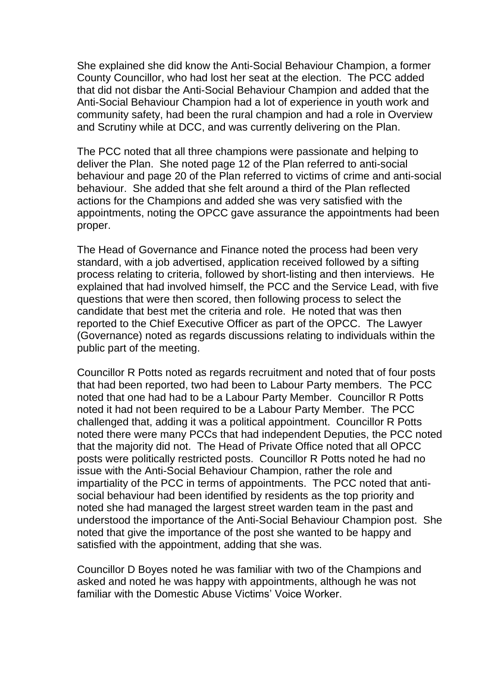She explained she did know the Anti-Social Behaviour Champion, a former County Councillor, who had lost her seat at the election. The PCC added that did not disbar the Anti-Social Behaviour Champion and added that the Anti-Social Behaviour Champion had a lot of experience in youth work and community safety, had been the rural champion and had a role in Overview and Scrutiny while at DCC, and was currently delivering on the Plan.

The PCC noted that all three champions were passionate and helping to deliver the Plan. She noted page 12 of the Plan referred to anti-social behaviour and page 20 of the Plan referred to victims of crime and anti-social behaviour. She added that she felt around a third of the Plan reflected actions for the Champions and added she was very satisfied with the appointments, noting the OPCC gave assurance the appointments had been proper.

The Head of Governance and Finance noted the process had been very standard, with a job advertised, application received followed by a sifting process relating to criteria, followed by short-listing and then interviews. He explained that had involved himself, the PCC and the Service Lead, with five questions that were then scored, then following process to select the candidate that best met the criteria and role. He noted that was then reported to the Chief Executive Officer as part of the OPCC. The Lawyer (Governance) noted as regards discussions relating to individuals within the public part of the meeting.

Councillor R Potts noted as regards recruitment and noted that of four posts that had been reported, two had been to Labour Party members. The PCC noted that one had had to be a Labour Party Member. Councillor R Potts noted it had not been required to be a Labour Party Member. The PCC challenged that, adding it was a political appointment. Councillor R Potts noted there were many PCCs that had independent Deputies, the PCC noted that the majority did not. The Head of Private Office noted that all OPCC posts were politically restricted posts. Councillor R Potts noted he had no issue with the Anti-Social Behaviour Champion, rather the role and impartiality of the PCC in terms of appointments. The PCC noted that antisocial behaviour had been identified by residents as the top priority and noted she had managed the largest street warden team in the past and understood the importance of the Anti-Social Behaviour Champion post. She noted that give the importance of the post she wanted to be happy and satisfied with the appointment, adding that she was.

Councillor D Boyes noted he was familiar with two of the Champions and asked and noted he was happy with appointments, although he was not familiar with the Domestic Abuse Victims' Voice Worker.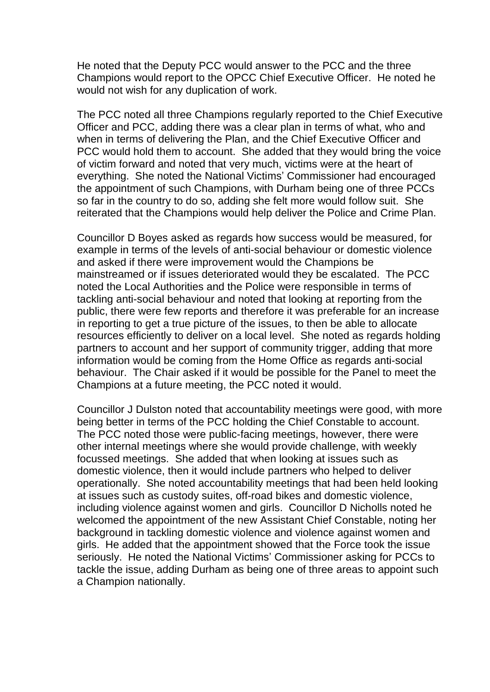He noted that the Deputy PCC would answer to the PCC and the three Champions would report to the OPCC Chief Executive Officer. He noted he would not wish for any duplication of work.

The PCC noted all three Champions regularly reported to the Chief Executive Officer and PCC, adding there was a clear plan in terms of what, who and when in terms of delivering the Plan, and the Chief Executive Officer and PCC would hold them to account. She added that they would bring the voice of victim forward and noted that very much, victims were at the heart of everything. She noted the National Victims' Commissioner had encouraged the appointment of such Champions, with Durham being one of three PCCs so far in the country to do so, adding she felt more would follow suit. She reiterated that the Champions would help deliver the Police and Crime Plan.

Councillor D Boyes asked as regards how success would be measured, for example in terms of the levels of anti-social behaviour or domestic violence and asked if there were improvement would the Champions be mainstreamed or if issues deteriorated would they be escalated. The PCC noted the Local Authorities and the Police were responsible in terms of tackling anti-social behaviour and noted that looking at reporting from the public, there were few reports and therefore it was preferable for an increase in reporting to get a true picture of the issues, to then be able to allocate resources efficiently to deliver on a local level. She noted as regards holding partners to account and her support of community trigger, adding that more information would be coming from the Home Office as regards anti-social behaviour. The Chair asked if it would be possible for the Panel to meet the Champions at a future meeting, the PCC noted it would.

Councillor J Dulston noted that accountability meetings were good, with more being better in terms of the PCC holding the Chief Constable to account. The PCC noted those were public-facing meetings, however, there were other internal meetings where she would provide challenge, with weekly focussed meetings. She added that when looking at issues such as domestic violence, then it would include partners who helped to deliver operationally. She noted accountability meetings that had been held looking at issues such as custody suites, off-road bikes and domestic violence, including violence against women and girls. Councillor D Nicholls noted he welcomed the appointment of the new Assistant Chief Constable, noting her background in tackling domestic violence and violence against women and girls. He added that the appointment showed that the Force took the issue seriously. He noted the National Victims' Commissioner asking for PCCs to tackle the issue, adding Durham as being one of three areas to appoint such a Champion nationally.